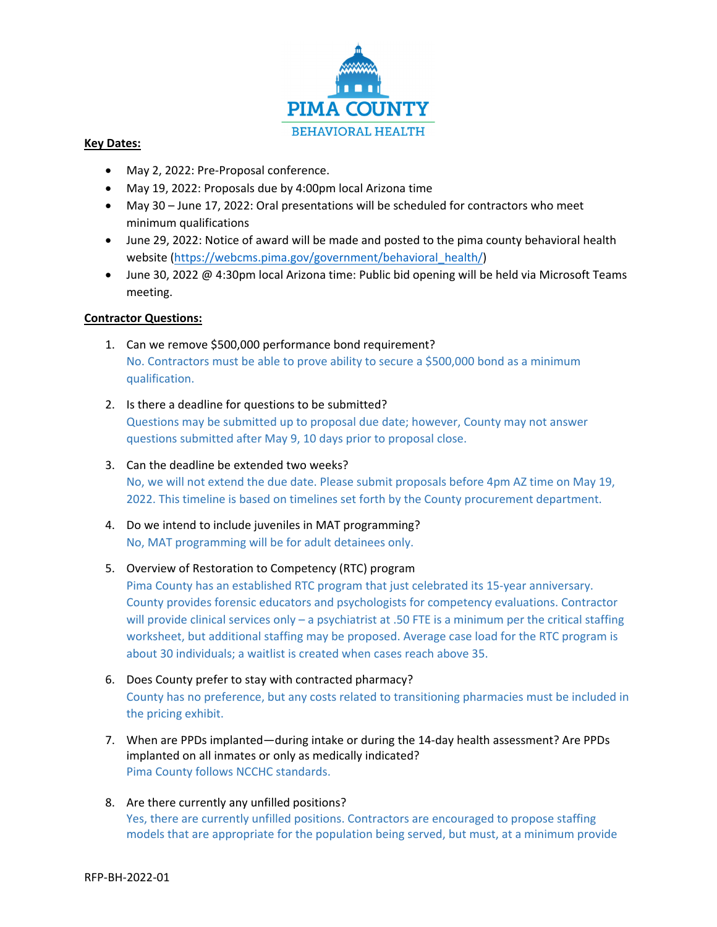

## **Key Dates:**

- May 2, 2022: Pre-Proposal conference.
- May 19, 2022: Proposals due by 4:00pm local Arizona time
- May 30 June 17, 2022: Oral presentations will be scheduled for contractors who meet minimum qualifications
- June 29, 2022: Notice of award will be made and posted to the pima county behavioral health website (https://webcms.pima.gov/government/behavioral\_health/)
- June 30, 2022 @ 4:30pm local Arizona time: Public bid opening will be held via Microsoft Teams meeting.

## **Contractor Questions:**

- 1. Can we remove \$500,000 performance bond requirement? No. Contractors must be able to prove ability to secure a \$500,000 bond as a minimum qualification.
- 2. Is there a deadline for questions to be submitted? Questions may be submitted up to proposal due date; however, County may not answer questions submitted after May 9, 10 days prior to proposal close.
- 3. Can the deadline be extended two weeks? No, we will not extend the due date. Please submit proposals before 4pm AZ time on May 19, 2022. This timeline is based on timelines set forth by the County procurement department.
- 4. Do we intend to include juveniles in MAT programming? No, MAT programming will be for adult detainees only.

## 5. Overview of Restoration to Competency (RTC) program

Pima County has an established RTC program that just celebrated its 15‐year anniversary. County provides forensic educators and psychologists for competency evaluations. Contractor will provide clinical services only – a psychiatrist at .50 FTE is a minimum per the critical staffing worksheet, but additional staffing may be proposed. Average case load for the RTC program is about 30 individuals; a waitlist is created when cases reach above 35.

- 6. Does County prefer to stay with contracted pharmacy? County has no preference, but any costs related to transitioning pharmacies must be included in the pricing exhibit.
- 7. When are PPDs implanted—during intake or during the 14-day health assessment? Are PPDs implanted on all inmates or only as medically indicated? Pima County follows NCCHC standards.
- 8. Are there currently any unfilled positions? Yes, there are currently unfilled positions. Contractors are encouraged to propose staffing models that are appropriate for the population being served, but must, at a minimum provide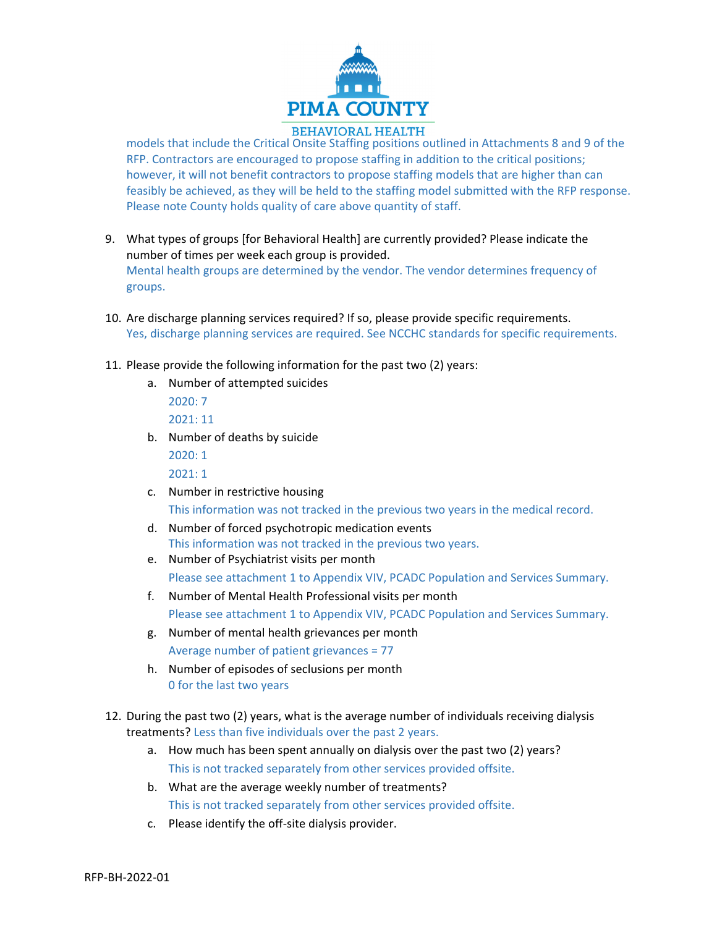

## **BEHAVIORAL HEALTH**

models that include the Critical Onsite Staffing positions outlined in Attachments 8 and 9 of the RFP. Contractors are encouraged to propose staffing in addition to the critical positions; however, it will not benefit contractors to propose staffing models that are higher than can feasibly be achieved, as they will be held to the staffing model submitted with the RFP response. Please note County holds quality of care above quantity of staff.

- 9. What types of groups [for Behavioral Health] are currently provided? Please indicate the number of times per week each group is provided. Mental health groups are determined by the vendor. The vendor determines frequency of groups.
- 10. Are discharge planning services required? If so, please provide specific requirements. Yes, discharge planning services are required. See NCCHC standards for specific requirements.
- 11. Please provide the following information for the past two (2) years:
	- a. Number of attempted suicides
		- 2020: 7 2021: 11
	- b. Number of deaths by suicide

2020: 1 2021: 1

c. Number in restrictive housing

This information was not tracked in the previous two years in the medical record.

- d. Number of forced psychotropic medication events This information was not tracked in the previous two years.
- e. Number of Psychiatrist visits per month Please see attachment 1 to Appendix VIV, PCADC Population and Services Summary.
- f. Number of Mental Health Professional visits per month Please see attachment 1 to Appendix VIV, PCADC Population and Services Summary.
- g. Number of mental health grievances per month Average number of patient grievances = 77
- h. Number of episodes of seclusions per month 0 for the last two years
- 12. During the past two (2) years, what is the average number of individuals receiving dialysis treatments? Less than five individuals over the past 2 years.
	- a. How much has been spent annually on dialysis over the past two (2) years? This is not tracked separately from other services provided offsite.
	- b. What are the average weekly number of treatments? This is not tracked separately from other services provided offsite.
	- c. Please identify the off‐site dialysis provider.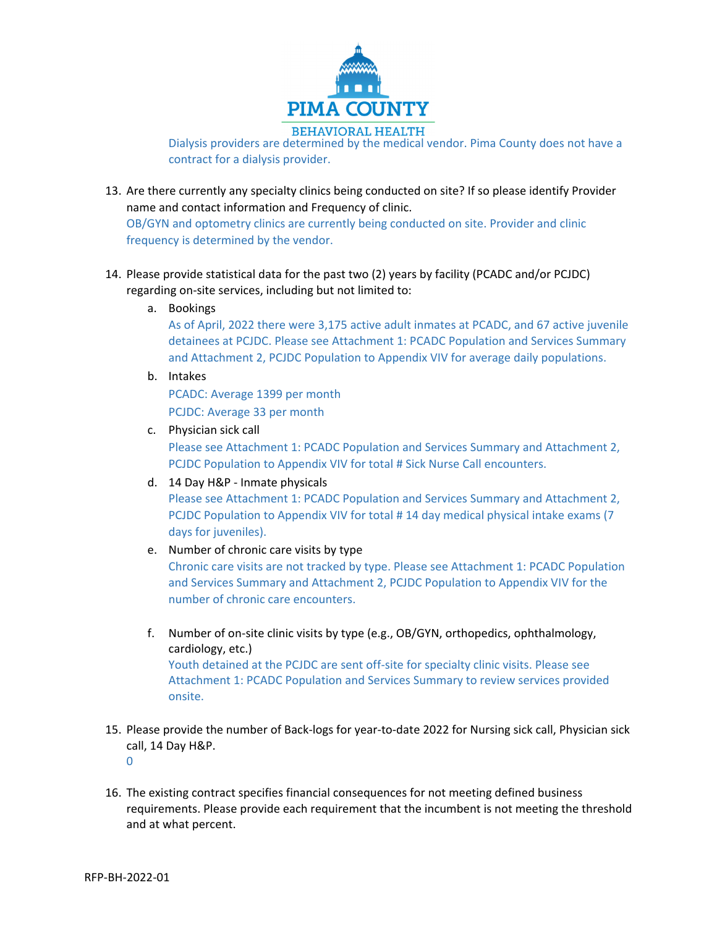

Dialysis providers are determined by the medical vendor. Pima County does not have a contract for a dialysis provider.

- 13. Are there currently any specialty clinics being conducted on site? If so please identify Provider name and contact information and Frequency of clinic. OB/GYN and optometry clinics are currently being conducted on site. Provider and clinic frequency is determined by the vendor.
- 14. Please provide statistical data for the past two (2) years by facility (PCADC and/or PCJDC) regarding on‐site services, including but not limited to:
	- a. Bookings

As of April, 2022 there were 3,175 active adult inmates at PCADC, and 67 active juvenile detainees at PCJDC. Please see Attachment 1: PCADC Population and Services Summary and Attachment 2, PCJDC Population to Appendix VIV for average daily populations.

b. Intakes

PCADC: Average 1399 per month PCJDC: Average 33 per month

c. Physician sick call

Please see Attachment 1: PCADC Population and Services Summary and Attachment 2, PCJDC Population to Appendix VIV for total # Sick Nurse Call encounters.

d. 14 Day H&P ‐ Inmate physicals

Please see Attachment 1: PCADC Population and Services Summary and Attachment 2, PCJDC Population to Appendix VIV for total # 14 day medical physical intake exams (7 days for juveniles).

e. Number of chronic care visits by type

Chronic care visits are not tracked by type. Please see Attachment 1: PCADC Population and Services Summary and Attachment 2, PCJDC Population to Appendix VIV for the number of chronic care encounters.

- f. Number of on‐site clinic visits by type (e.g., OB/GYN, orthopedics, ophthalmology, cardiology, etc.) Youth detained at the PCJDC are sent off‐site for specialty clinic visits. Please see Attachment 1: PCADC Population and Services Summary to review services provided onsite.
- 15. Please provide the number of Back‐logs for year‐to‐date 2022 for Nursing sick call, Physician sick call, 14 Day H&P.

 $\Omega$ 

16. The existing contract specifies financial consequences for not meeting defined business requirements. Please provide each requirement that the incumbent is not meeting the threshold and at what percent.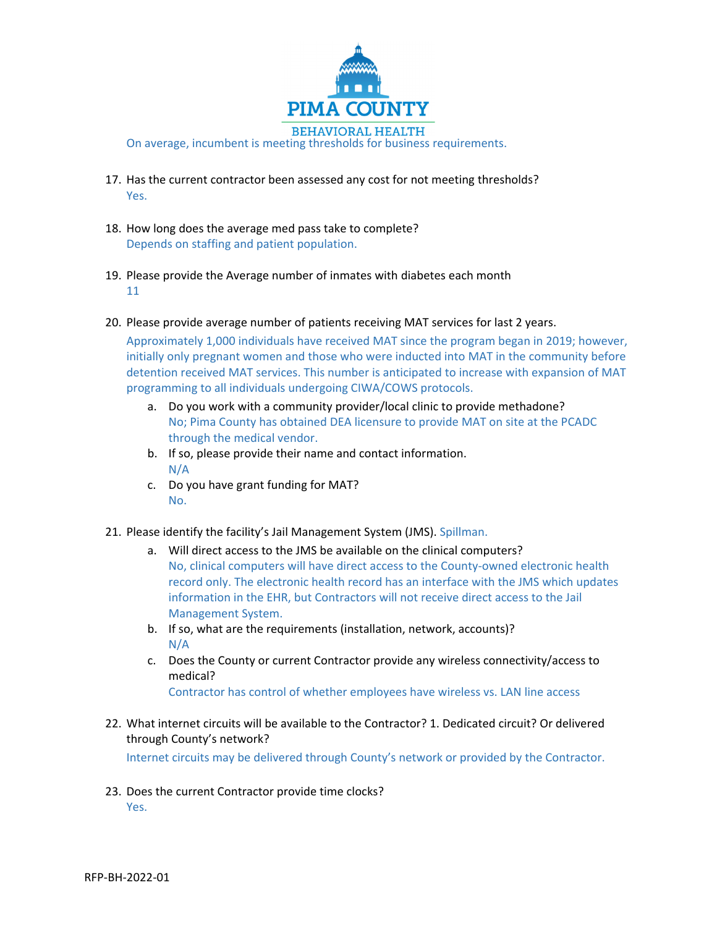

- 17. Has the current contractor been assessed any cost for not meeting thresholds? Yes.
- 18. How long does the average med pass take to complete? Depends on staffing and patient population.
- 19. Please provide the Average number of inmates with diabetes each month 11
- 20. Please provide average number of patients receiving MAT services for last 2 years. Approximately 1,000 individuals have received MAT since the program began in 2019; however, initially only pregnant women and those who were inducted into MAT in the community before detention received MAT services. This number is anticipated to increase with expansion of MAT programming to all individuals undergoing CIWA/COWS protocols.
	- a. Do you work with a community provider/local clinic to provide methadone? No; Pima County has obtained DEA licensure to provide MAT on site at the PCADC through the medical vendor.
	- b. If so, please provide their name and contact information. N/A
	- c. Do you have grant funding for MAT? No.
- 21. Please identify the facility's Jail Management System (JMS). Spillman.
	- a. Will direct access to the JMS be available on the clinical computers? No, clinical computers will have direct access to the County-owned electronic health record only. The electronic health record has an interface with the JMS which updates information in the EHR, but Contractors will not receive direct access to the Jail Management System.
	- b. If so, what are the requirements (installation, network, accounts)? N/A
	- c. Does the County or current Contractor provide any wireless connectivity/access to medical?

Contractor has control of whether employees have wireless vs. LAN line access

22. What internet circuits will be available to the Contractor? 1. Dedicated circuit? Or delivered through County's network?

Internet circuits may be delivered through County's network or provided by the Contractor.

23. Does the current Contractor provide time clocks? Yes.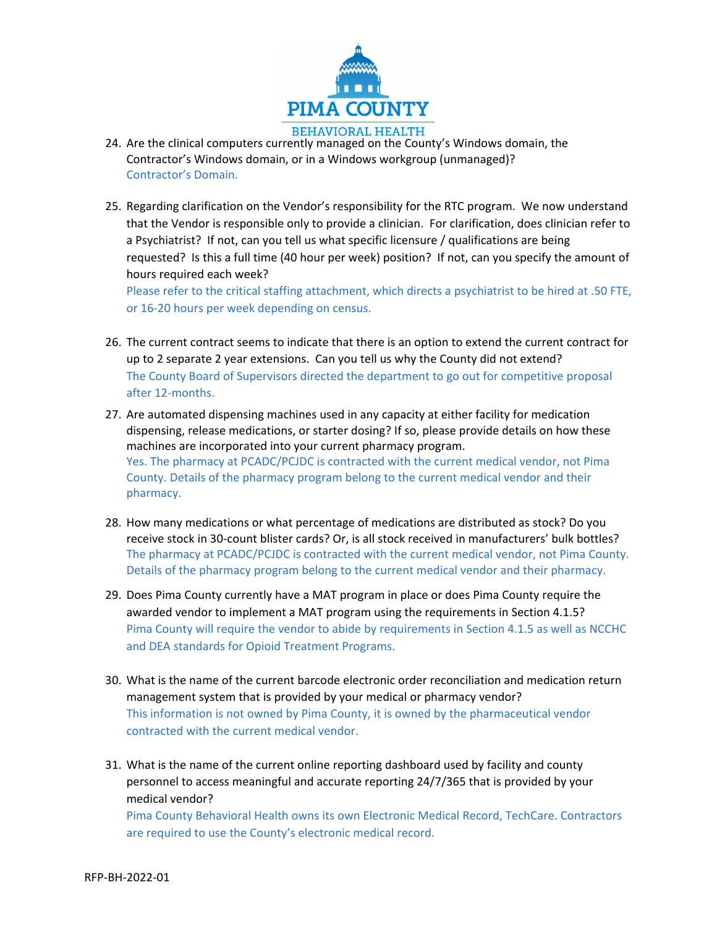

- 24. Are the clinical computers currently managed on the County's Windows domain, the Contractor's Windows domain, or in a Windows workgroup (unmanaged)? Contractor's Domain.
- 25. Regarding clarification on the Vendor's responsibility for the RTC program. We now understand that the Vendor is responsible only to provide a clinician. For clarification, does clinician refer to a Psychiatrist? If not, can you tell us what specific licensure / qualifications are being requested? Is this a full time (40 hour per week) position? If not, can you specify the amount of hours required each week?

Please refer to the critical staffing attachment, which directs a psychiatrist to be hired at .50 FTE, or 16‐20 hours per week depending on census.

- 26. The current contract seems to indicate that there is an option to extend the current contract for up to 2 separate 2 year extensions. Can you tell us why the County did not extend? The County Board of Supervisors directed the department to go out for competitive proposal after 12‐months.
- 27. Are automated dispensing machines used in any capacity at either facility for medication dispensing, release medications, or starter dosing? If so, please provide details on how these machines are incorporated into your current pharmacy program. Yes. The pharmacy at PCADC/PCJDC is contracted with the current medical vendor, not Pima County. Details of the pharmacy program belong to the current medical vendor and their pharmacy.
- 28. How many medications or what percentage of medications are distributed as stock? Do you receive stock in 30‐count blister cards? Or, is all stock received in manufacturers' bulk bottles? The pharmacy at PCADC/PCJDC is contracted with the current medical vendor, not Pima County. Details of the pharmacy program belong to the current medical vendor and their pharmacy.
- 29. Does Pima County currently have a MAT program in place or does Pima County require the awarded vendor to implement a MAT program using the requirements in Section 4.1.5? Pima County will require the vendor to abide by requirements in Section 4.1.5 as well as NCCHC and DEA standards for Opioid Treatment Programs.
- 30. What is the name of the current barcode electronic order reconciliation and medication return management system that is provided by your medical or pharmacy vendor? This information is not owned by Pima County, it is owned by the pharmaceutical vendor contracted with the current medical vendor.
- 31. What is the name of the current online reporting dashboard used by facility and county personnel to access meaningful and accurate reporting 24/7/365 that is provided by your medical vendor?

Pima County Behavioral Health owns its own Electronic Medical Record, TechCare. Contractors are required to use the County's electronic medical record.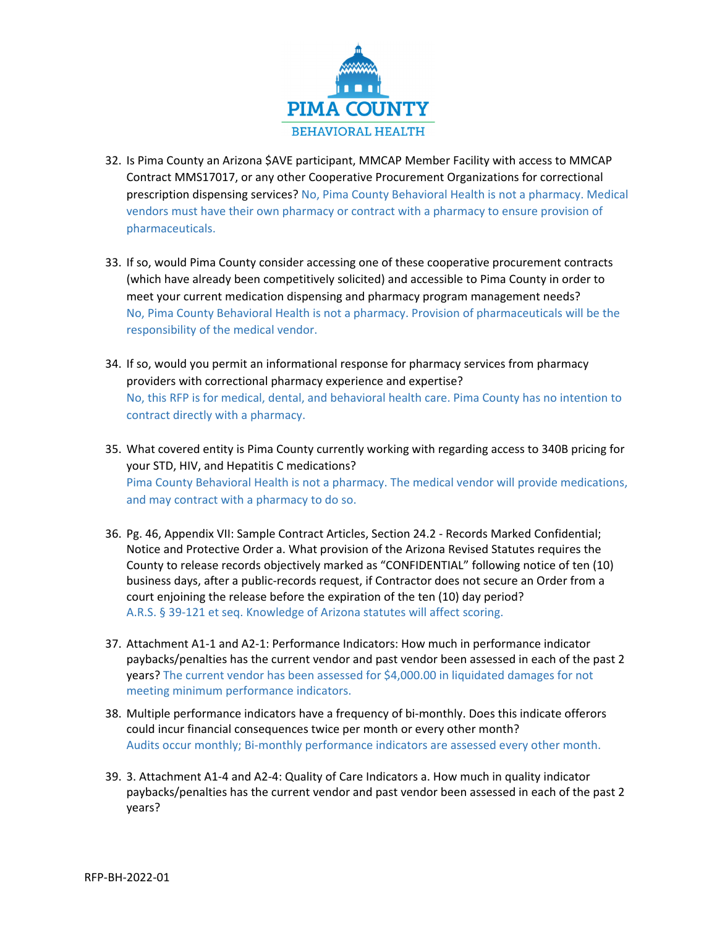

- 32. Is Pima County an Arizona \$AVE participant, MMCAP Member Facility with access to MMCAP Contract MMS17017, or any other Cooperative Procurement Organizations for correctional prescription dispensing services? No, Pima County Behavioral Health is not a pharmacy. Medical vendors must have their own pharmacy or contract with a pharmacy to ensure provision of pharmaceuticals.
- 33. If so, would Pima County consider accessing one of these cooperative procurement contracts (which have already been competitively solicited) and accessible to Pima County in order to meet your current medication dispensing and pharmacy program management needs? No, Pima County Behavioral Health is not a pharmacy. Provision of pharmaceuticals will be the responsibility of the medical vendor.
- 34. If so, would you permit an informational response for pharmacy services from pharmacy providers with correctional pharmacy experience and expertise? No, this RFP is for medical, dental, and behavioral health care. Pima County has no intention to contract directly with a pharmacy.
- 35. What covered entity is Pima County currently working with regarding access to 340B pricing for your STD, HIV, and Hepatitis C medications? Pima County Behavioral Health is not a pharmacy. The medical vendor will provide medications, and may contract with a pharmacy to do so.
- 36. Pg. 46, Appendix VII: Sample Contract Articles, Section 24.2 ‐ Records Marked Confidential; Notice and Protective Order a. What provision of the Arizona Revised Statutes requires the County to release records objectively marked as "CONFIDENTIAL" following notice of ten (10) business days, after a public‐records request, if Contractor does not secure an Order from a court enjoining the release before the expiration of the ten (10) day period? A.R.S. § 39‐121 et seq. Knowledge of Arizona statutes will affect scoring.
- 37. Attachment A1‐1 and A2‐1: Performance Indicators: How much in performance indicator paybacks/penalties has the current vendor and past vendor been assessed in each of the past 2 years? The current vendor has been assessed for \$4,000.00 in liquidated damages for not meeting minimum performance indicators.
- 38. Multiple performance indicators have a frequency of bi-monthly. Does this indicate offerors could incur financial consequences twice per month or every other month? Audits occur monthly; Bi‐monthly performance indicators are assessed every other month.
- 39. 3. Attachment A1‐4 and A2‐4: Quality of Care Indicators a. How much in quality indicator paybacks/penalties has the current vendor and past vendor been assessed in each of the past 2 years?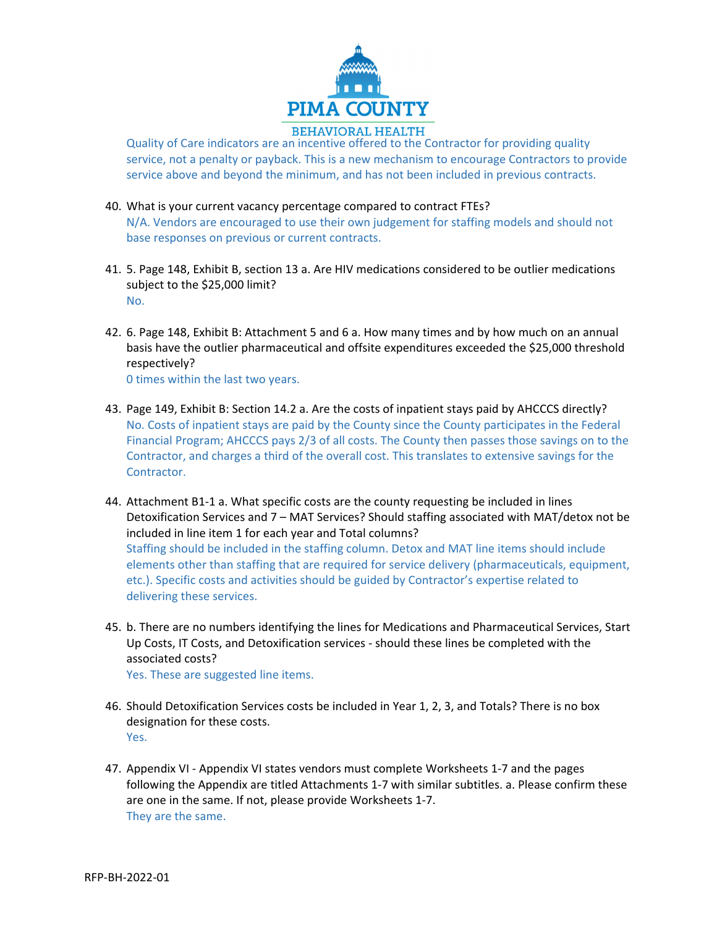

Quality of Care indicators are an incentive offered to the Contractor for providing quality service, not a penalty or payback. This is a new mechanism to encourage Contractors to provide service above and beyond the minimum, and has not been included in previous contracts.

- 40. What is your current vacancy percentage compared to contract FTEs? N/A. Vendors are encouraged to use their own judgement for staffing models and should not base responses on previous or current contracts.
- 41. 5. Page 148, Exhibit B, section 13 a. Are HIV medications considered to be outlier medications subject to the \$25,000 limit? No.
- 42. 6. Page 148, Exhibit B: Attachment 5 and 6 a. How many times and by how much on an annual basis have the outlier pharmaceutical and offsite expenditures exceeded the \$25,000 threshold respectively? 0 times within the last two years.
- 43. Page 149, Exhibit B: Section 14.2 a. Are the costs of inpatient stays paid by AHCCCS directly? No. Costs of inpatient stays are paid by the County since the County participates in the Federal Financial Program; AHCCCS pays 2/3 of all costs. The County then passes those savings on to the Contractor, and charges a third of the overall cost. This translates to extensive savings for the Contractor.
- 44. Attachment B1‐1 a. What specific costs are the county requesting be included in lines Detoxification Services and 7 – MAT Services? Should staffing associated with MAT/detox not be included in line item 1 for each year and Total columns? Staffing should be included in the staffing column. Detox and MAT line items should include elements other than staffing that are required for service delivery (pharmaceuticals, equipment, etc.). Specific costs and activities should be guided by Contractor's expertise related to delivering these services.
- 45. b. There are no numbers identifying the lines for Medications and Pharmaceutical Services, Start Up Costs, IT Costs, and Detoxification services ‐ should these lines be completed with the associated costs? Yes. These are suggested line items.
- 46. Should Detoxification Services costs be included in Year 1, 2, 3, and Totals? There is no box designation for these costs. Yes.
- 47. Appendix VI Appendix VI states vendors must complete Worksheets 1-7 and the pages following the Appendix are titled Attachments 1‐7 with similar subtitles. a. Please confirm these are one in the same. If not, please provide Worksheets 1‐7. They are the same.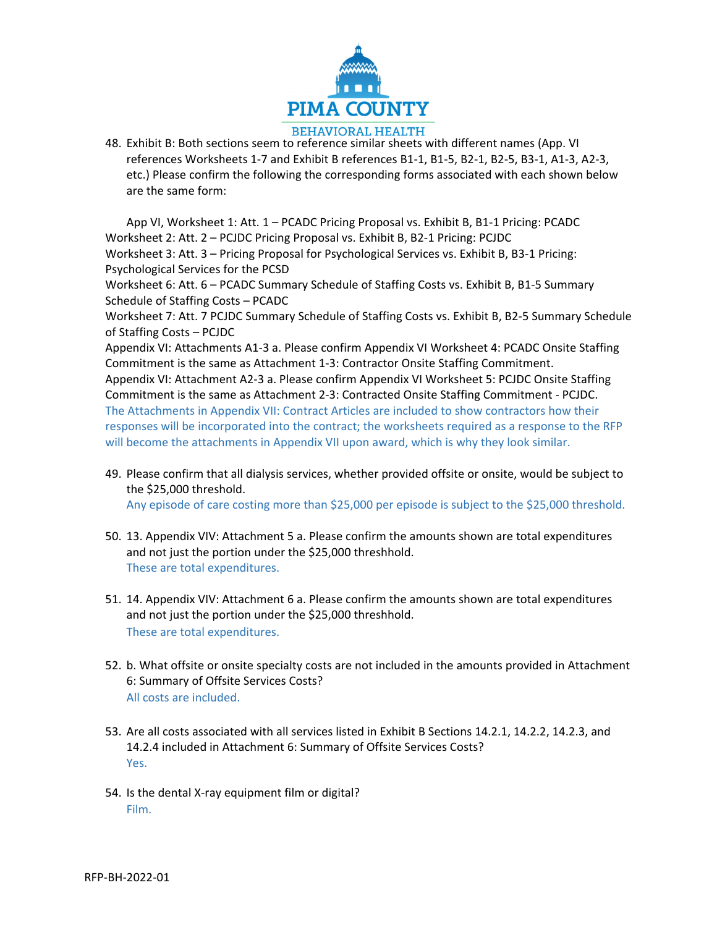

48. Exhibit B: Both sections seem to reference similar sheets with different names (App. VI references Worksheets 1‐7 and Exhibit B references B1‐1, B1‐5, B2‐1, B2‐5, B3‐1, A1‐3, A2‐3, etc.) Please confirm the following the corresponding forms associated with each shown below are the same form:

App VI, Worksheet 1: Att. 1 – PCADC Pricing Proposal vs. Exhibit B, B1‐1 Pricing: PCADC Worksheet 2: Att. 2 – PCJDC Pricing Proposal vs. Exhibit B, B2‐1 Pricing: PCJDC Worksheet 3: Att. 3 – Pricing Proposal for Psychological Services vs. Exhibit B, B3‐1 Pricing: Psychological Services for the PCSD Worksheet 6: Att. 6 – PCADC Summary Schedule of Staffing Costs vs. Exhibit B, B1-5 Summary Schedule of Staffing Costs – PCADC Worksheet 7: Att. 7 PCJDC Summary Schedule of Staffing Costs vs. Exhibit B, B2‐5 Summary Schedule of Staffing Costs – PCJDC Appendix VI: Attachments A1‐3 a. Please confirm Appendix VI Worksheet 4: PCADC Onsite Staffing Commitment is the same as Attachment 1‐3: Contractor Onsite Staffing Commitment. Appendix VI: Attachment A2‐3 a. Please confirm Appendix VI Worksheet 5: PCJDC Onsite Staffing Commitment is the same as Attachment 2‐3: Contracted Onsite Staffing Commitment ‐ PCJDC. The Attachments in Appendix VII: Contract Articles are included to show contractors how their responses will be incorporated into the contract; the worksheets required as a response to the RFP will become the attachments in Appendix VII upon award, which is why they look similar.

- 49. Please confirm that all dialysis services, whether provided offsite or onsite, would be subject to the \$25,000 threshold. Any episode of care costing more than \$25,000 per episode is subject to the \$25,000 threshold.
- 50. 13. Appendix VIV: Attachment 5 a. Please confirm the amounts shown are total expenditures and not just the portion under the \$25,000 threshhold.
	- These are total expenditures.
- 51. 14. Appendix VIV: Attachment 6 a. Please confirm the amounts shown are total expenditures and not just the portion under the \$25,000 threshhold. These are total expenditures.
- 52. b. What offsite or onsite specialty costs are not included in the amounts provided in Attachment 6: Summary of Offsite Services Costs? All costs are included.
- 53. Are all costs associated with all services listed in Exhibit B Sections 14.2.1, 14.2.2, 14.2.3, and 14.2.4 included in Attachment 6: Summary of Offsite Services Costs? Yes.
- 54. Is the dental X-ray equipment film or digital? Film.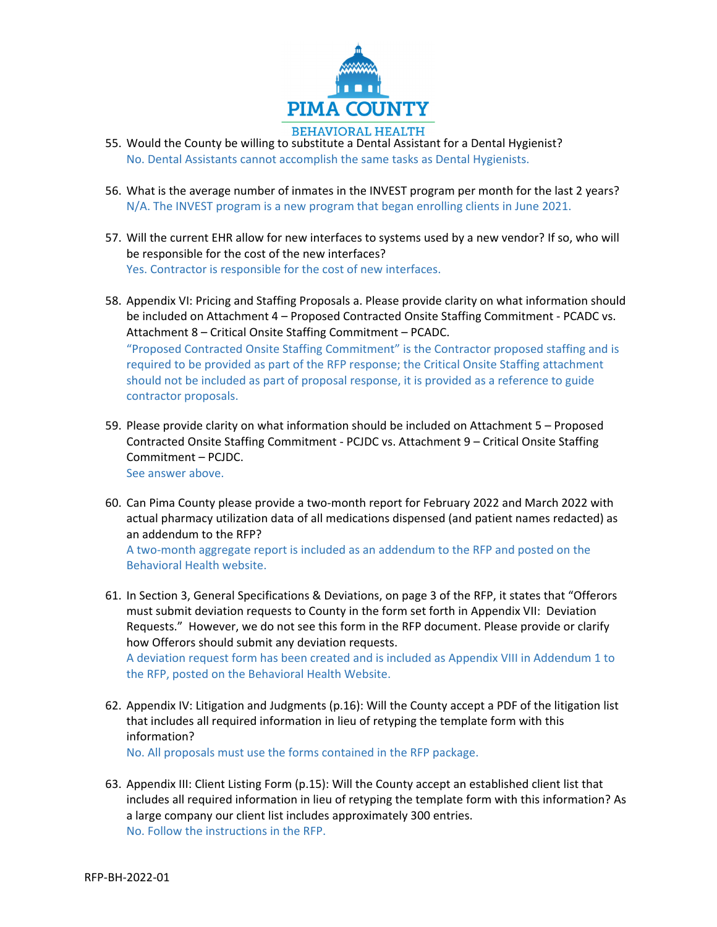

- 55. Would the County be willing to substitute a Dental Assistant for a Dental Hygienist? No. Dental Assistants cannot accomplish the same tasks as Dental Hygienists.
- 56. What is the average number of inmates in the INVEST program per month for the last 2 years? N/A. The INVEST program is a new program that began enrolling clients in June 2021.
- 57. Will the current EHR allow for new interfaces to systems used by a new vendor? If so, who will be responsible for the cost of the new interfaces? Yes. Contractor is responsible for the cost of new interfaces.
- 58. Appendix VI: Pricing and Staffing Proposals a. Please provide clarity on what information should be included on Attachment 4 – Proposed Contracted Onsite Staffing Commitment ‐ PCADC vs. Attachment 8 – Critical Onsite Staffing Commitment – PCADC. "Proposed Contracted Onsite Staffing Commitment" is the Contractor proposed staffing and is required to be provided as part of the RFP response; the Critical Onsite Staffing attachment should not be included as part of proposal response, it is provided as a reference to guide contractor proposals.
- 59. Please provide clarity on what information should be included on Attachment 5 Proposed Contracted Onsite Staffing Commitment ‐ PCJDC vs. Attachment 9 – Critical Onsite Staffing Commitment – PCJDC. See answer above.
- 60. Can Pima County please provide a two‐month report for February 2022 and March 2022 with actual pharmacy utilization data of all medications dispensed (and patient names redacted) as an addendum to the RFP? A two‐month aggregate report is included as an addendum to the RFP and posted on the

Behavioral Health website.

61. In Section 3, General Specifications & Deviations, on page 3 of the RFP, it states that "Offerors must submit deviation requests to County in the form set forth in Appendix VII: Deviation Requests." However, we do not see this form in the RFP document. Please provide or clarify how Offerors should submit any deviation requests.

A deviation request form has been created and is included as Appendix VIII in Addendum 1 to the RFP, posted on the Behavioral Health Website.

62. Appendix IV: Litigation and Judgments (p.16): Will the County accept a PDF of the litigation list that includes all required information in lieu of retyping the template form with this information?

No. All proposals must use the forms contained in the RFP package.

63. Appendix III: Client Listing Form (p.15): Will the County accept an established client list that includes all required information in lieu of retyping the template form with this information? As a large company our client list includes approximately 300 entries. No. Follow the instructions in the RFP.